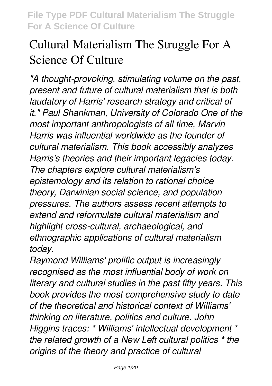# **Cultural Materialism The Struggle For A Science Of Culture**

*"A thought-provoking, stimulating volume on the past, present and future of cultural materialism that is both laudatory of Harris' research strategy and critical of it." Paul Shankman, University of Colorado One of the most important anthropologists of all time, Marvin Harris was influential worldwide as the founder of cultural materialism. This book accessibly analyzes Harris's theories and their important legacies today. The chapters explore cultural materialism's epistemology and its relation to rational choice theory, Darwinian social science, and population pressures. The authors assess recent attempts to extend and reformulate cultural materialism and highlight cross-cultural, archaeological, and ethnographic applications of cultural materialism today.*

*Raymond Williams' prolific output is increasingly recognised as the most influential body of work on literary and cultural studies in the past fifty years. This book provides the most comprehensive study to date of the theoretical and historical context of Williams' thinking on literature, politics and culture. John Higgins traces: \* Williams' intellectual development \* the related growth of a New Left cultural politics \* the origins of the theory and practice of cultural*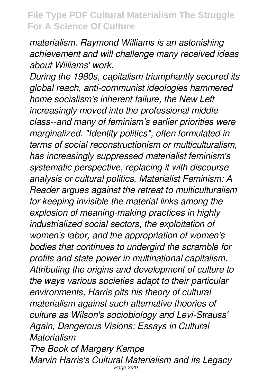*materialism. Raymond Williams is an astonishing achievement and will challenge many received ideas about Williams' work.*

*During the 1980s, capitalism triumphantly secured its global reach, anti-communist ideologies hammered home socialism's inherent failure, the New Left increasingly moved into the professional middle class--and many of feminism's earlier priorities were marginalized. "Identity politics", often formulated in terms of social reconstructionism or multiculturalism, has increasingly suppressed materialist feminism's systematic perspective, replacing it with discourse analysis or cultural politics. Materialist Feminism: A Reader argues against the retreat to multiculturalism for keeping invisible the material links among the explosion of meaning-making practices in highly industrialized social sectors, the exploitation of women's labor, and the appropriation of women's bodies that continues to undergird the scramble for profits and state power in multinational capitalism. Attributing the origins and development of culture to the ways various societies adapt to their particular environments, Harris pits his theory of cultural materialism against such alternative theories of culture as Wilson's sociobiology and Levi-Strauss' Again, Dangerous Visions: Essays in Cultural Materialism The Book of Margery Kempe*

*Marvin Harris's Cultural Materialism and its Legacy* Page 2/20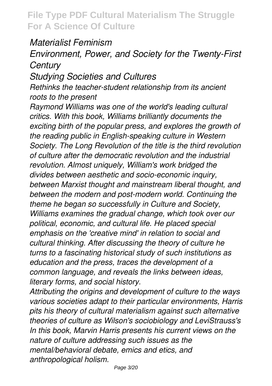#### *Materialist Feminism*

### *Environment, Power, and Society for the Twenty-First Century*

*Studying Societies and Cultures*

*Rethinks the teacher-student relationship from its ancient roots to the present*

*Raymond Williams was one of the world's leading cultural critics. With this book, Williams brilliantly documents the exciting birth of the popular press, and explores the growth of the reading public in English-speaking culture in Western Society. The Long Revolution of the title is the third revolution of culture after the democratic revolution and the industrial revolution. Almost uniquely, William's work bridged the divides between aesthetic and socio-economic inquiry, between Marxist thought and mainstream liberal thought, and between the modern and post-modern world. Continuing the theme he began so successfully in Culture and Society, Williams examines the gradual change, which took over our political, economic, and cultural life. He placed special emphasis on the 'creative mind' in relation to social and cultural thinking. After discussing the theory of culture he turns to a fascinating historical study of such institutions as education and the press, traces the development of a common language, and reveals the links between ideas, literary forms, and social history.*

*Attributing the origins and development of culture to the ways various societies adapt to their particular environments, Harris pits his theory of cultural materialism against such alternative theories of culture as Wilson's sociobiology and LeviStrauss's In this book, Marvin Harris presents his current views on the nature of culture addressing such issues as the mental/behavioral debate, emics and etics, and anthropological holism.*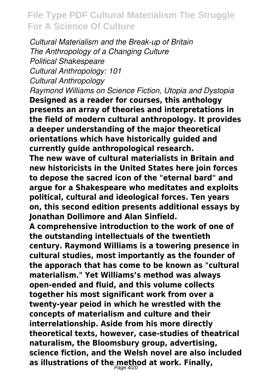*Cultural Materialism and the Break-up of Britain The Anthropology of a Changing Culture Political Shakespeare Cultural Anthropology: 101 Cultural Anthropology*

*Raymond Williams on Science Fiction, Utopia and Dystopia* **Designed as a reader for courses, this anthology presents an array of theories and interpretations in the field of modern cultural anthropology. It provides a deeper understanding of the major theoretical orientations which have historically guided and currently guide anthropological research.**

**The new wave of cultural materialists in Britain and new historicists in the United States here join forces to depose the sacred icon of the "eternal bard" and argue for a Shakespeare who meditates and exploits political, cultural and ideological forces. Ten years on, this second edition presents additional essays by Jonathan Dollimore and Alan Sinfield.**

**A comprehensive introduction to the work of one of the outstanding intellectuals of the twentieth century. Raymond Williams is a towering presence in cultural studies, most importantly as the founder of the apporach that has come to be known as "cultural materialism." Yet Williams's method was always open-ended and fluid, and this volume collects together his most significant work from over a twenty-year peiod in which he wrestled with the concepts of materialism and culture and their interrelationship. Aside from his more directly theoretical texts, however, case-studies of theatrical naturalism, the Bloomsbury group, advertising, science fiction, and the Welsh novel are also included** as illustrations of the method at work. Finally,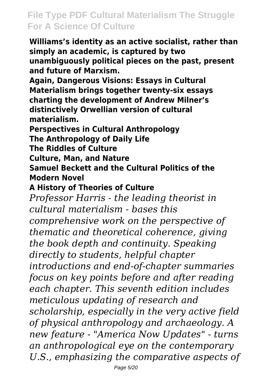**Williams's identity as an active socialist, rather than simply an academic, is captured by two unambiguously political pieces on the past, present and future of Marxism.**

**Again, Dangerous Visions: Essays in Cultural Materialism brings together twenty-six essays charting the development of Andrew Milner's distinctively Orwellian version of cultural materialism.**

**Perspectives in Cultural Anthropology The Anthropology of Daily Life**

**The Riddles of Culture**

**Culture, Man, and Nature**

**Samuel Beckett and the Cultural Politics of the Modern Novel**

**A History of Theories of Culture**

*Professor Harris - the leading theorist in cultural materialism - bases this comprehensive work on the perspective of thematic and theoretical coherence, giving the book depth and continuity. Speaking directly to students, helpful chapter introductions and end-of-chapter summaries focus on key points before and after reading each chapter. This seventh edition includes meticulous updating of research and scholarship, especially in the very active field of physical anthropology and archaeology. A new feature - "America Now Updates" - turns an anthropological eye on the contemporary U.S., emphasizing the comparative aspects of*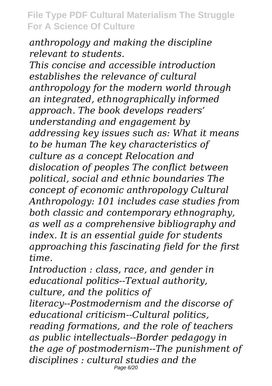*anthropology and making the discipline relevant to students.*

*This concise and accessible introduction establishes the relevance of cultural anthropology for the modern world through an integrated, ethnographically informed approach. The book develops readers' understanding and engagement by addressing key issues such as: What it means to be human The key characteristics of culture as a concept Relocation and dislocation of peoples The conflict between political, social and ethnic boundaries The concept of economic anthropology Cultural Anthropology: 101 includes case studies from both classic and contemporary ethnography, as well as a comprehensive bibliography and index. It is an essential guide for students approaching this fascinating field for the first time.*

*Introduction : class, race, and gender in educational politics--Textual authority, culture, and the politics of literacy--Postmodernism and the discorse of educational criticism--Cultural politics, reading formations, and the role of teachers as public intellectuals--Border pedagogy in the age of postmodernism--The punishment of disciplines : cultural studies and the* Page 6/20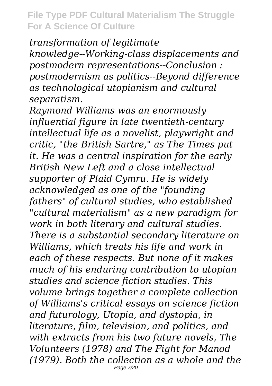*transformation of legitimate knowledge--Working-class displacements and postmodern representations--Conclusion : postmodernism as politics--Beyond difference as technological utopianism and cultural separatism.*

*Raymond Williams was an enormously influential figure in late twentieth-century intellectual life as a novelist, playwright and critic, "the British Sartre," as The Times put it. He was a central inspiration for the early British New Left and a close intellectual supporter of Plaid Cymru. He is widely acknowledged as one of the "founding fathers" of cultural studies, who established "cultural materialism" as a new paradigm for work in both literary and cultural studies. There is a substantial secondary literature on Williams, which treats his life and work in each of these respects. But none of it makes much of his enduring contribution to utopian studies and science fiction studies. This volume brings together a complete collection of Williams's critical essays on science fiction and futurology, Utopia, and dystopia, in literature, film, television, and politics, and with extracts from his two future novels, The Volunteers (1978) and The Fight for Manod (1979). Both the collection as a whole and the* Page 7/20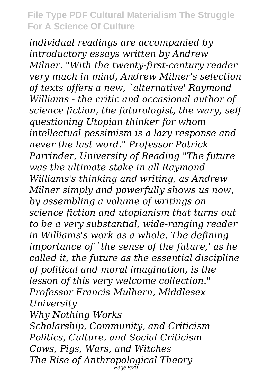*individual readings are accompanied by introductory essays written by Andrew Milner. "With the twenty-first-century reader very much in mind, Andrew Milner's selection of texts offers a new, `alternative' Raymond Williams - the critic and occasional author of science fiction, the futurologist, the wary, selfquestioning Utopian thinker for whom intellectual pessimism is a lazy response and never the last word." Professor Patrick Parrinder, University of Reading "The future was the ultimate stake in all Raymond Williams's thinking and writing, as Andrew Milner simply and powerfully shows us now, by assembling a volume of writings on science fiction and utopianism that turns out to be a very substantial, wide-ranging reader in Williams's work as a whole. The defining importance of `the sense of the future,' as he called it, the future as the essential discipline of political and moral imagination, is the lesson of this very welcome collection." Professor Francis Mulhern, Middlesex University*

*Why Nothing Works Scholarship, Community, and Criticism Politics, Culture, and Social Criticism Cows, Pigs, Wars, and Witches The Rise of Anthropological Theory* Page 8/20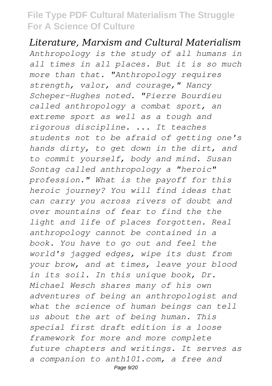*Literature, Marxism and Cultural Materialism Anthropology is the study of all humans in all times in all places. But it is so much more than that. "Anthropology requires strength, valor, and courage," Nancy Scheper-Hughes noted. "Pierre Bourdieu called anthropology a combat sport, an extreme sport as well as a tough and rigorous discipline. ... It teaches students not to be afraid of getting one's hands dirty, to get down in the dirt, and to commit yourself, body and mind. Susan Sontag called anthropology a "heroic" profession." What is the payoff for this heroic journey? You will find ideas that can carry you across rivers of doubt and over mountains of fear to find the the light and life of places forgotten. Real anthropology cannot be contained in a book. You have to go out and feel the world's jagged edges, wipe its dust from your brow, and at times, leave your blood in its soil. In this unique book, Dr. Michael Wesch shares many of his own adventures of being an anthropologist and what the science of human beings can tell us about the art of being human. This special first draft edition is a loose framework for more and more complete future chapters and writings. It serves as a companion to anth101.com, a free and* Page 9/20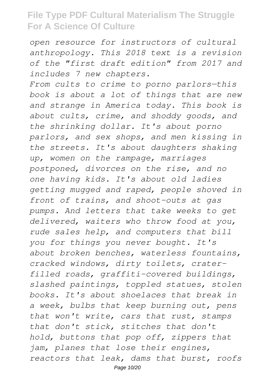*open resource for instructors of cultural anthropology. This 2018 text is a revision of the "first draft edition" from 2017 and includes 7 new chapters.*

*From cults to crime to porno parlors—this book is about a lot of things that are new and strange in America today. This book is about cults, crime, and shoddy goods, and the shrinking dollar. It's about porno parlors, and sex shops, and men kissing in the streets. It's about daughters shaking up, women on the rampage, marriages postponed, divorces on the rise, and no one having kids. It's about old ladies getting mugged and raped, people shoved in front of trains, and shoot-outs at gas pumps. And letters that take weeks to get delivered, waiters who throw food at you, rude sales help, and computers that bill you for things you never bought. It's about broken benches, waterless fountains, cracked windows, dirty toilets, craterfilled roads, graffiti-covered buildings, slashed paintings, toppled statues, stolen books. It's about shoelaces that break in a week, bulbs that keep burning out, pens that won't write, cars that rust, stamps that don't stick, stitches that don't hold, buttons that pop off, zippers that jam, planes that lose their engines, reactors that leak, dams that burst, roofs* Page 10/20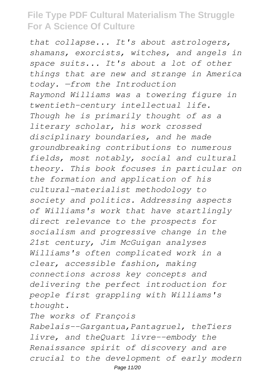*that collapse... It's about astrologers, shamans, exorcists, witches, and angels in space suits... It's about a lot of other things that are new and strange in America today. —from the Introduction Raymond Williams was a towering figure in twentieth-century intellectual life. Though he is primarily thought of as a literary scholar, his work crossed disciplinary boundaries, and he made groundbreaking contributions to numerous fields, most notably, social and cultural theory. This book focuses in particular on the formation and application of his cultural-materialist methodology to society and politics. Addressing aspects of Williams's work that have startlingly direct relevance to the prospects for socialism and progressive change in the 21st century, Jim McGuigan analyses Williams's often complicated work in a clear, accessible fashion, making connections across key concepts and delivering the perfect introduction for people first grappling with Williams's thought.*

*The works of François*

*Rabelais--Gargantua,Pantagruel, theTiers livre, and theQuart livre--embody the Renaissance spirit of discovery and are crucial to the development of early modern*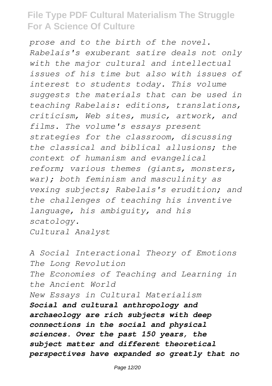*prose and to the birth of the novel. Rabelais's exuberant satire deals not only with the major cultural and intellectual issues of his time but also with issues of interest to students today. This volume suggests the materials that can be used in teaching Rabelais: editions, translations, criticism, Web sites, music, artwork, and films. The volume's essays present strategies for the classroom, discussing the classical and biblical allusions; the context of humanism and evangelical reform; various themes (giants, monsters, war); both feminism and masculinity as vexing subjects; Rabelais's erudition; and the challenges of teaching his inventive language, his ambiguity, and his scatology.*

*Cultural Analyst*

*A Social Interactional Theory of Emotions The Long Revolution The Economies of Teaching and Learning in the Ancient World New Essays in Cultural Materialism Social and cultural anthropology and archaeology are rich subjects with deep connections in the social and physical sciences. Over the past 150 years, the subject matter and different theoretical perspectives have expanded so greatly that no*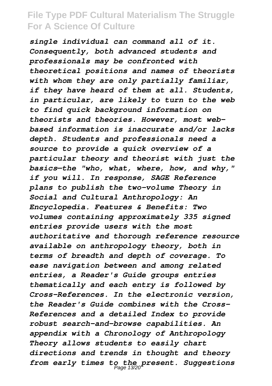*single individual can command all of it. Consequently, both advanced students and professionals may be confronted with theoretical positions and names of theorists with whom they are only partially familiar, if they have heard of them at all. Students, in particular, are likely to turn to the web to find quick background information on theorists and theories. However, most webbased information is inaccurate and/or lacks depth. Students and professionals need a source to provide a quick overview of a particular theory and theorist with just the basics—the "who, what, where, how, and why," if you will. In response, SAGE Reference plans to publish the two-volume Theory in Social and Cultural Anthropology: An Encyclopedia. Features & Benefits: Two volumes containing approximately 335 signed entries provide users with the most authoritative and thorough reference resource available on anthropology theory, both in terms of breadth and depth of coverage. To ease navigation between and among related entries, a Reader's Guide groups entries thematically and each entry is followed by Cross-References. In the electronic version, the Reader's Guide combines with the Cross-References and a detailed Index to provide robust search-and-browse capabilities. An appendix with a Chronology of Anthropology Theory allows students to easily chart directions and trends in thought and theory from early times to the present. Suggestions* Page 13/20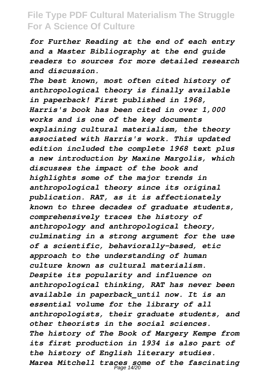*for Further Reading at the end of each entry and a Master Bibliography at the end guide readers to sources for more detailed research and discussion.*

*The best known, most often cited history of anthropological theory is finally available in paperback! First published in 1968, Harris's book has been cited in over 1,000 works and is one of the key documents explaining cultural materialism, the theory associated with Harris's work. This updated edition included the complete 1968 text plus a new introduction by Maxine Margolis, which discusses the impact of the book and highlights some of the major trends in anthropological theory since its original publication. RAT, as it is affectionately known to three decades of graduate students, comprehensively traces the history of anthropology and anthropological theory, culminating in a strong argument for the use of a scientific, behaviorally-based, etic approach to the understanding of human culture known as cultural materialism. Despite its popularity and influence on anthropological thinking, RAT has never been available in paperback\_until now. It is an essential volume for the library of all anthropologists, their graduate students, and other theorists in the social sciences. The history of The Book of Margery Kempe from its first production in 1934 is also part of the history of English literary studies. Marea Mitchell traces some of the fascinating* Page 14/20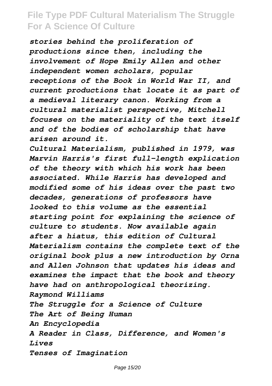*stories behind the proliferation of productions since then, including the involvement of Hope Emily Allen and other independent women scholars, popular receptions of the Book in World War II, and current productions that locate it as part of a medieval literary canon. Working from a cultural materialist perspective, Mitchell focuses on the materiality of the text itself and of the bodies of scholarship that have arisen around it.*

*Cultural Materialism, published in 1979, was Marvin Harris's first full-length explication of the theory with which his work has been associated. While Harris has developed and modified some of his ideas over the past two decades, generations of professors have looked to this volume as the essential starting point for explaining the science of culture to students. Now available again after a hiatus, this edition of Cultural Materialism contains the complete text of the original book plus a new introduction by Orna and Allen Johnson that updates his ideas and examines the impact that the book and theory have had on anthropological theorizing. Raymond Williams The Struggle for a Science of Culture The Art of Being Human An Encyclopedia A Reader in Class, Difference, and Women's Lives Tenses of Imagination*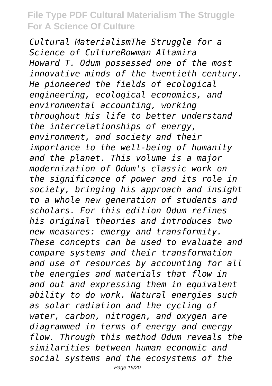*Cultural MaterialismThe Struggle for a Science of CultureRowman Altamira Howard T. Odum possessed one of the most innovative minds of the twentieth century. He pioneered the fields of ecological engineering, ecological economics, and environmental accounting, working throughout his life to better understand the interrelationships of energy, environment, and society and their importance to the well-being of humanity and the planet. This volume is a major modernization of Odum's classic work on the significance of power and its role in society, bringing his approach and insight to a whole new generation of students and scholars. For this edition Odum refines his original theories and introduces two new measures: emergy and transformity. These concepts can be used to evaluate and compare systems and their transformation and use of resources by accounting for all the energies and materials that flow in and out and expressing them in equivalent ability to do work. Natural energies such as solar radiation and the cycling of water, carbon, nitrogen, and oxygen are diagrammed in terms of energy and emergy flow. Through this method Odum reveals the similarities between human economic and social systems and the ecosystems of the*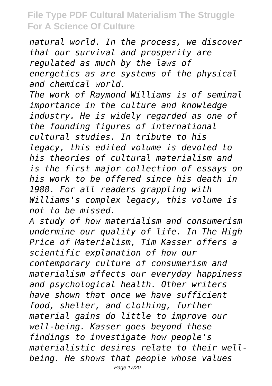*natural world. In the process, we discover that our survival and prosperity are regulated as much by the laws of energetics as are systems of the physical and chemical world.*

*The work of Raymond Williams is of seminal importance in the culture and knowledge industry. He is widely regarded as one of the founding figures of international cultural studies. In tribute to his legacy, this edited volume is devoted to his theories of cultural materialism and is the first major collection of essays on his work to be offered since his death in 1988. For all readers grappling with Williams's complex legacy, this volume is not to be missed.*

*A study of how materialism and consumerism undermine our quality of life. In The High Price of Materialism, Tim Kasser offers a scientific explanation of how our contemporary culture of consumerism and materialism affects our everyday happiness and psychological health. Other writers have shown that once we have sufficient food, shelter, and clothing, further material gains do little to improve our well-being. Kasser goes beyond these findings to investigate how people's materialistic desires relate to their wellbeing. He shows that people whose values*

Page 17/20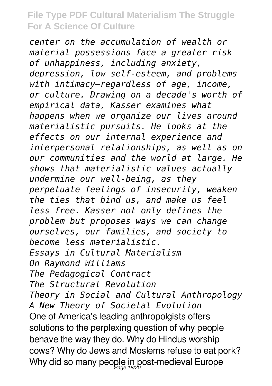*center on the accumulation of wealth or material possessions face a greater risk of unhappiness, including anxiety, depression, low self-esteem, and problems with intimacy—regardless of age, income, or culture. Drawing on a decade's worth of empirical data, Kasser examines what happens when we organize our lives around materialistic pursuits. He looks at the effects on our internal experience and interpersonal relationships, as well as on our communities and the world at large. He shows that materialistic values actually undermine our well-being, as they perpetuate feelings of insecurity, weaken the ties that bind us, and make us feel less free. Kasser not only defines the problem but proposes ways we can change ourselves, our families, and society to become less materialistic. Essays in Cultural Materialism On Raymond Williams The Pedagogical Contract The Structural Revolution Theory in Social and Cultural Anthropology A New Theory of Societal Evolution* One of America's leading anthropolgists offers solutions to the perplexing question of why people behave the way they do. Why do Hindus worship cows? Why do Jews and Moslems refuse to eat pork? Why did so many people in post-medieval Europe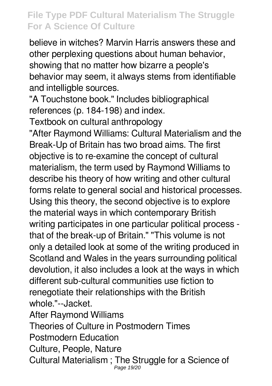believe in witches? Marvin Harris answers these and other perplexing questions about human behavior, showing that no matter how bizarre a people's behavior may seem, it always stems from identifiable and intelligble sources.

"A Touchstone book." Includes bibliographical references (p. 184-198) and index.

Textbook on cultural anthropology

"After Raymond Williams: Cultural Materialism and the Break-Up of Britain has two broad aims. The first objective is to re-examine the concept of cultural materialism, the term used by Raymond Williams to describe his theory of how writing and other cultural forms relate to general social and historical processes. Using this theory, the second objective is to explore the material ways in which contemporary British writing participates in one particular political process that of the break-up of Britain." "This volume is not only a detailed look at some of the writing produced in Scotland and Wales in the years surrounding political devolution, it also includes a look at the ways in which different sub-cultural communities use fiction to renegotiate their relationships with the British whole."--Jacket.

After Raymond Williams

Theories of Culture in Postmodern Times

Postmodern Education

Culture, People, Nature

Cultural Materialism ; The Struggle for a Science of Page 19/20